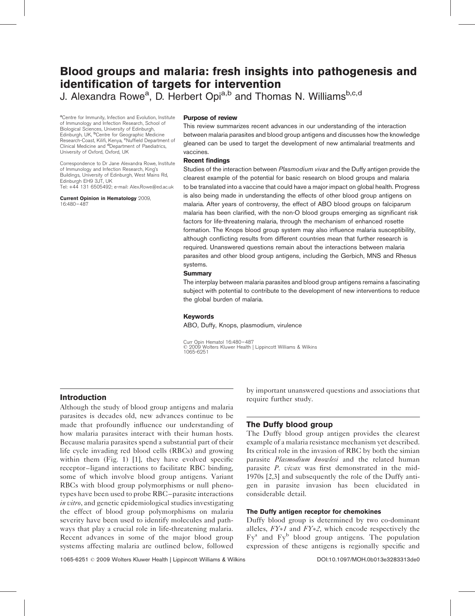# Blood groups and malaria: fresh insights into pathogenesis and identification of targets for intervention

J. Alexandra Rowe<sup>a</sup>, D. Herbert Opi<sup>a,b</sup> and Thomas N. Williams<sup>b,c,d</sup>

<sup>a</sup>Centre for Immunity, Infection and Evolution, Institute of Immunology and Infection Research, School of Biological Sciences, University of Edinburgh, Edinburgh, UK, <sup>b</sup>Centre for Geographic Medicine Research-Coast, Kilifi, Kenya, <sup>c</sup>Nuffield Department of<br>Clinical Medicine and <sup>d</sup>Department of Paediatrics, University of Oxford, Oxford, UK

Correspondence to Dr Jane Alexandra Rowe, Institute of Immunology and Infection Research, King's Buildings, University of Edinburgh, West Mains Rd, Edinburgh EH9 3JT, UK Tel: +44 131 6505492; e-mail: [Alex.Rowe@ed.ac.uk](mailto:Alex.Rowe@ed.ac.uk)

Current Opinion in Hematology 2009,

16:480–487

#### Purpose of review

This review summarizes recent advances in our understanding of the interaction between malaria parasites and blood group antigens and discusses how the knowledge gleaned can be used to target the development of new antimalarial treatments and vaccines.

## Recent findings

Studies of the interaction between Plasmodium vivax and the Duffy antigen provide the clearest example of the potential for basic research on blood groups and malaria to be translated into a vaccine that could have a major impact on global health. Progress is also being made in understanding the effects of other blood group antigens on malaria. After years of controversy, the effect of ABO blood groups on falciparum malaria has been clarified, with the non-O blood groups emerging as significant risk factors for life-threatening malaria, through the mechanism of enhanced rosette formation. The Knops blood group system may also influence malaria susceptibility, although conflicting results from different countries mean that further research is required. Unanswered questions remain about the interactions between malaria parasites and other blood group antigens, including the Gerbich, MNS and Rhesus systems.

#### **Summary**

The interplay between malaria parasites and blood group antigens remains a fascinating subject with potential to contribute to the development of new interventions to reduce the global burden of malaria.

## Keywords

ABO, Duffy, Knops, plasmodium, virulence

Curr Opin Hematol 16:480–487 2009 Wolters Kluwer Health | Lippincott Williams & Wilkins 1065-6251

# Introduction

Although the study of blood group antigens and malaria parasites is decades old, new advances continue to be made that profoundly influence our understanding of how malaria parasites interact with their human hosts. Because malaria parasites spend a substantial part of their life cycle invading red blood cells (RBCs) and growing within them [\(Fig. 1\)](#page-1-0) [\[1\]](#page-5-0), they have evolved specific receptor–ligand interactions to facilitate RBC binding, some of which involve blood group antigens. Variant RBCs with blood group polymorphisms or null phenotypes have been used to probe RBC–parasite interactions in vitro, and genetic epidemiological studies investigating the effect of blood group polymorphisms on malaria severity have been used to identify molecules and pathways that play a crucial role in life-threatening malaria. Recent advances in some of the major blood group systems affecting malaria are outlined below, followed

by important unanswered questions and associations that require further study.

# The Duffy blood group

The Duffy blood group antigen provides the clearest example of a malaria resistance mechanism yet described. Its critical role in the invasion of RBC by both the simian parasite *Plasmodium knowlesi* and the related human parasite P. vivax was first demonstrated in the mid-1970s [\[2,3\]](#page-5-0) and subsequently the role of the Duffy antigen in parasite invasion has been elucidated in considerable detail.

# The Duffy antigen receptor for chemokines

Duffy blood group is determined by two co-dominant alleles,  $FY*1$  and  $FY*2$ , which encode respectively the  $Fv^a$  and  $Fv^b$  blood group antigens. The population expression of these antigens is regionally specific and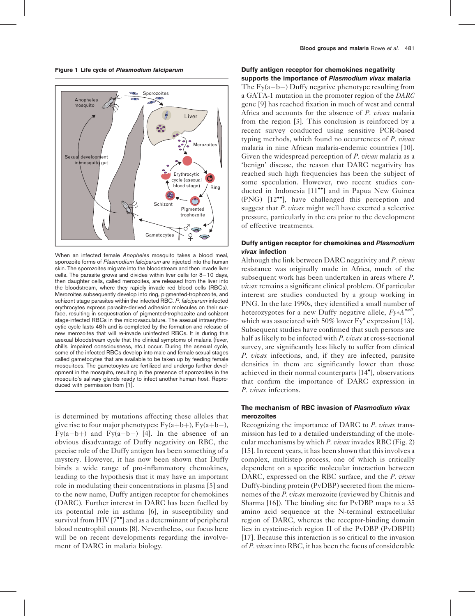<span id="page-1-0"></span>Figure 1 Life cycle of Plasmodium falciparum



When an infected female Anopheles mosquito takes a blood meal, sporozoite forms of Plasmodium falciparum are injected into the human skin. The sporozoites migrate into the bloodstream and then invade liver cells. The parasite grows and divides within liver cells for 8–10 days, then daughter cells, called merozoites, are released from the liver into the bloodstream, where they rapidly invade red blood cells (RBCs). Merozoites subsequently develop into ring, pigmented-trophozoite, and schizont stage parasites within the infected RBC. P. falciparum-infected erythrocytes express parasite-derived adhesion molecules on their surface, resulting in sequestration of pigmented-trophozoite and schizont stage-infected RBCs in the microvasculature. The asexual intraerythrocytic cycle lasts 48 h and is completed by the formation and release of new merozoites that will re-invade uninfected RBCs. It is during this asexual bloodstream cycle that the clinical symptoms of malaria (fever, chills, impaired consciousness, etc.) occur. During the asexual cycle, some of the infected RBCs develop into male and female sexual stages called gametocytes that are available to be taken up by feeding female mosquitoes. The gametocytes are fertilized and undergo further development in the mosquito, resulting in the presence of sporozoites in the mosquito's salivary glands ready to infect another human host. Reproduced with permission from [\[1\].](#page-5-0)

is determined by mutations affecting these alleles that give rise to four major phenotypes:  $Fy(a+b+)$ ,  $Fy(a+b-)$ , Fy(a-b+) and Fy(a-b-) [\[4\].](#page-5-0) In the absence of an obvious disadvantage of Duffy negativity on RBC, the precise role of the Duffy antigen has been something of a mystery. However, it has now been shown that Duffy binds a wide range of pro-inflammatory chemokines, leading to the hypothesis that it may have an important role in modulating their concentrations in plasma [\[5\]](#page-5-0) and to the new name, Duffy antigen receptor for chemokines (DARC). Further interest in DARC has been fuelled by its potential role in asthma [\[6\]](#page-5-0), in susceptibility and survival from HIV  $[7^{\bullet\bullet}]$  $[7^{\bullet\bullet}]$  $[7^{\bullet\bullet}]$  and as a determinant of peripheral blood neutrophil counts [\[8\]](#page-5-0). Nevertheless, our focus here will be on recent developments regarding the involvement of DARC in malaria biology.

## Duffy antigen receptor for chemokines negativity supports the importance of Plasmodium vivax malaria

The  $Fy(a-b-)$  Duffy negative phenotype resulting from a GATA-1 mutation in the promoter region of the DARC gene [\[9\]](#page-6-0) has reached fixation in much of west and central Africa and accounts for the absence of P. vivax malaria from the region [\[3\].](#page-5-0) This conclusion is reinforced by a recent survey conducted using sensitive PCR-based typing methods, which found no occurrences of  $P$ . vivax malaria in nine African malaria-endemic countries [\[10\]](#page-6-0). Given the widespread perception of P. vivax malaria as a 'benign' disease, the reason that DARC negativity has reached such high frequencies has been the subject of some speculation. However, two recent studies con-ducted in Indonesia [\[11](#page-6-0)<sup>••</sup>[\]](#page-6-0) and in Papua New Guinea  $(PNG)$   $[12^{\bullet\bullet}]$  $[12^{\bullet\bullet}]$ , have challenged this perception and suggest that P. vivax might well have exerted a selective pressure, particularly in the era prior to the development of effective treatments.

## Duffy antigen receptor for chemokines and Plasmodium vivax infection

Although the link between DARC negativity and P. vivax resistance was originally made in Africa, much of the subsequent work has been undertaken in areas where P. vivax remains a significant clinical problem. Of particular interest are studies conducted by a group working in PNG. In the late 1990s, they identified a small number of heterozygotes for a new Duffy negative allele,  $F_{\mathcal{Y}^*A}^{null}$ , which was associated with 50% lower  $Fy^2$  expression [\[13\]](#page-6-0). Subsequent studies have confirmed that such persons are half as likely to be infected with P. vivax at cross-sectional survey, are significantly less likely to suffer from clinical P. vivax infections, and, if they are infected, parasite densities in them are significantly lower than those achieved in their normal counterparts [\[14](#page-6-0) [\]](#page-6-0), observations that confirm the importance of DARC expression in P. vivax infections.

## The mechanism of RBC invasion of Plasmodium vivax merozoites

Recognizing the importance of DARC to P. vivax transmission has led to a detailed understanding of the mole-cular mechanisms by which P. vivax invades RBC ([Fig. 2\)](#page-2-0) [\[15\].](#page-6-0) In recent years, it has been shown that this involves a complex, multistep process, one of which is critically dependent on a specific molecular interaction between DARC, expressed on the RBC surface, and the *P. vivax* Duffy-binding protein (PvDBP) secreted from the micronemes of the *P. vivax* merozoite (reviewed by Chitnis and Sharma [\[16\]](#page-6-0)). The binding site for PvDBP maps to a 35 amino acid sequence at the N-terminal extracellular region of DARC, whereas the receptor-binding domain lies in cysteine-rich region II of the PvDBP (PvDBPII) [\[17\].](#page-6-0) Because this interaction is so critical to the invasion of P. vivax into RBC, it has been the focus of considerable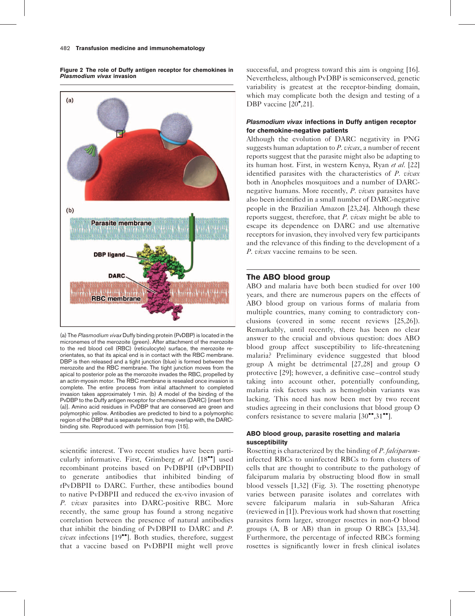<span id="page-2-0"></span>Figure 2 The role of Duffy antigen receptor for chemokines in Plasmodium vivax invasion



(a) The Plasmodium vivax Duffy binding protein (PvDBP) is located in the micronemes of the merozoite (green). After attachment of the merozoite to the red blood cell (RBC) (reticulocyte) surface, the merozoite reorientates, so that its apical end is in contact with the RBC membrane. DBP is then released and a tight junction (blue) is formed between the merozoite and the RBC membrane. The tight junction moves from the apical to posterior pole as the merozoite invades the RBC, propelled by an actin-myosin motor. The RBC membrane is resealed once invasion is complete. The entire process from initial attachment to completed invasion takes approximately 1 min. (b) A model of the binding of the PvDBP to the Duffy antigen receptor for chemokines (DARC) [inset from (a)]. Amino acid residues in PvDBP that are conserved are green and polymorphic yellow. Antibodies are predicted to bind to a polymorphic region of the DBP that is separate from, but may overlap with, the DARCbinding site. Reproduced with permission from [\[15\]](#page-6-0).

scientific interest. Two recent studies have been parti-cularly informative. First, Grimberg et al. [\[18](#page-6-0)<sup>••</sup>[\]](#page-6-0) used recombinant proteins based on PvDBPII (rPvDBPII) to generate antibodies that inhibited binding of rPvDBPII to DARC. Further, these antibodies bound to native PvDBPII and reduced the ex-vivo invasion of P. vivax parasites into DARC-positive RBC. More recently, the same group has found a strong negative correlation between the presence of natural antibodies that inhibit the binding of PvDBPII to DARC and P.  $\overline{v}$ *ivax* infections [\[19](#page-6-0)<sup> $\bullet$ </sup>[\]](#page-6-0). Both studies, therefore, suggest that a vaccine based on PvDBPII might well prove

successful, and progress toward this aim is ongoing [\[16\]](#page-6-0). Nevertheless, although PvDBP is semiconserved, genetic variability is greatest at the receptor-binding domain, which may complicate both the design and testing of a DBP vaccine [\[20](#page-6-0)<sup>°</sup>[,21\].](#page-6-0)

## Plasmodium vivax infections in Duffy antigen receptor for chemokine-negative patients

Although the evolution of DARC negativity in PNG suggests human adaptation to  $P.$  vivax, a number of recent reports suggest that the parasite might also be adapting to its human host. First, in western Kenya, Ryan et al. [\[22\]](#page-6-0) identified parasites with the characteristics of P. vivax both in Anopheles mosquitoes and a number of DARCnegative humans. More recently, P. vivax parasites have also been identified in a small number of DARC-negative people in the Brazilian Amazon [\[23,24\]](#page-6-0). Although these reports suggest, therefore, that P. vivax might be able to escape its dependence on DARC and use alternative receptors for invasion, they involved very few participants and the relevance of this finding to the development of a P. vivax vaccine remains to be seen.

# The ABO blood group

ABO and malaria have both been studied for over 100 years, and there are numerous papers on the effects of ABO blood group on various forms of malaria from multiple countries, many coming to contradictory conclusions (covered in some recent reviews [\[25,26\]](#page-6-0)). Remarkably, until recently, there has been no clear answer to the crucial and obvious question: does ABO blood group affect susceptibility to life-threatening malaria? Preliminary evidence suggested that blood group A might be detrimental [\[27,28\]](#page-6-0) and group O protective [\[29\]](#page-6-0); however, a definitive case–control study taking into account other, potentially confounding, malaria risk factors such as hemoglobin variants was lacking. This need has now been met by two recent studies agreeing in their conclusions that blood group O confers resistance to severe malaria  $[30\text{°}^\bullet, 31\text{°}^\bullet]$  $[30\text{°}^\bullet, 31\text{°}^\bullet]$ .

## ABO blood group, parasite rosetting and malaria susceptibility

Rosetting is characterized by the binding of P. falciparuminfected RBCs to uninfected RBCs to form clusters of cells that are thought to contribute to the pathology of falciparum malaria by obstructing blood flow in small blood vessels [\[1,32\]](#page-5-0) [\(Fig. 3\)](#page-3-0). The rosetting phenotype varies between parasite isolates and correlates with severe falciparum malaria in sub-Saharan Africa (reviewed in [\[1\]](#page-5-0)). Previous work had shown that rosetting parasites form larger, stronger rosettes in non-O blood groups (A, B or AB) than in group O RBCs [\[33,34\]](#page-6-0). Furthermore, the percentage of infected RBCs forming rosettes is significantly lower in fresh clinical isolates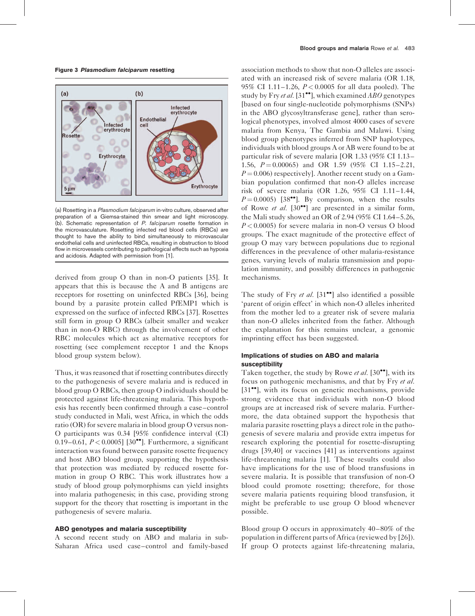<span id="page-3-0"></span>Figure 3 Plasmodium falciparum resetting



(a) Rosetting in a Plasmodium falciparum in-vitro culture, observed after preparation of a Giemsa-stained thin smear and light microscopy. (b). Schematic representation of P. falciparum rosette formation in the microvasculature. Rosetting infected red blood cells (RBCs) are thought to have the ability to bind simultaneously to microvascular endothelial cells and uninfected RBCs, resulting in obstruction to blood flow in microvessels contributing to pathological effects such as hypoxia and acidosis. Adapted with permission from [\[1\]](#page-5-0).

derived from group O than in non-O patients [\[35\].](#page-6-0) It appears that this is because the A and B antigens are receptors for rosetting on uninfected RBCs [\[36\],](#page-6-0) being bound by a parasite protein called PfEMP1 which is expressed on the surface of infected RBCs [\[37\].](#page-6-0) Rosettes still form in group O RBCs (albeit smaller and weaker than in non-O RBC) through the involvement of other RBC molecules which act as alternative receptors for rosetting (see complement receptor 1 and the Knops blood group system below).

Thus, it was reasoned that if rosetting contributes directly to the pathogenesis of severe malaria and is reduced in blood group O RBCs, then group O individuals should be protected against life-threatening malaria. This hypothesis has recently been confirmed through a case–control study conducted in Mali, west Africa, in which the odds ratio (OR) for severe malaria in blood group O versus non-O participants was 0.34 [95% confidence interval (CI) 0.19–0.61,  $P < 0.0005$ ] [\[30](#page-6-0)<sup>••</sup>[\]](#page-6-0). Furthermore, a significant interaction was found between parasite rosette frequency and host ABO blood group, supporting the hypothesis that protection was mediated by reduced rosette formation in group O RBC. This work illustrates how a study of blood group polymorphisms can yield insights into malaria pathogenesis; in this case, providing strong support for the theory that rosetting is important in the pathogenesis of severe malaria.

#### ABO genotypes and malaria susceptibility

A second recent study on ABO and malaria in sub-Saharan Africa used case–control and family-based

association methods to show that non-O alleles are associated with an increased risk of severe malaria (OR 1.18, 95% CI 1.11–1.26,  $P < 0.0005$  for all data pooled). The study by Fry et al. [\[31](#page-6-0)<sup> $\bullet$ </sup>[\],](#page-6-0) which examined ABO genotypes [based on four single-nucleotide polymorphisms (SNPs) in the ABO glycosyltransferase gene], rather than serological phenotypes, involved almost 4000 cases of severe malaria from Kenya, The Gambia and Malawi. Using blood group phenotypes inferred from SNP haplotypes, individuals with blood groups A or AB were found to be at particular risk of severe malaria [OR 1.33 (95% CI 1.13– 1.56,  $P = 0.00065$  and OR 1.59 (95% CI 1.15–2.21,  $P = 0.006$ ) respectively]. Another recent study on a Gambian population confirmed that non-O alleles increase risk of severe malaria (OR 1.26, 95% CI 1.11–1.44,  $P = 0.0005$  [\[38](#page-6-0)<sup> $\bullet$ </sup>[\]](#page-6-0). By comparison, when the results of Rowe et al.  $[30\degree]$  $[30\degree]$  $[30\degree]$  are presented in a similar form, the Mali study showed an OR of 2.94 (95% CI 1.64–5.26,  $P < 0.0005$ ) for severe malaria in non-O versus O blood groups. The exact magnitude of the protective effect of group O may vary between populations due to regional differences in the prevalence of other malaria-resistance genes, varying levels of malaria transmission and population immunity, and possibly differences in pathogenic mechanisms.

The study of Fry *et al.*  $[31\bullet]$  $[31\bullet]$  $[31\bullet]$  also identified a possible 'parent of origin effect' in which non-O alleles inherited from the mother led to a greater risk of severe malaria than non-O alleles inherited from the father. Although the explanation for this remains unclear, a genomic imprinting effect has been suggested.

## Implications of studies on ABO and malaria susceptibility

Taken together, the study by Rowe et al.  $[30\bullet]$  $[30\bullet]$  $[30\bullet]$ , with its focus on pathogenic mechanisms, and that by Fry et al. [\[31](#page-6-0)<sup>••</sup>[\]](#page-6-0), with its focus on genetic mechanisms, provide strong evidence that individuals with non-O blood groups are at increased risk of severe malaria. Furthermore, the data obtained support the hypothesis that malaria parasite rosetting plays a direct role in the pathogenesis of severe malaria and provide extra impetus for research exploring the potential for rosette-disrupting drugs [\[39,40\]](#page-6-0) or vaccines [\[41\]](#page-6-0) as interventions against life-threatening malaria [\[1\].](#page-5-0) These results could also have implications for the use of blood transfusions in severe malaria. It is possible that transfusion of non-O blood could promote rosetting; therefore, for those severe malaria patients requiring blood transfusion, it might be preferable to use group O blood whenever possible.

Blood group O occurs in approximately 40–80% of the population in different parts of Africa (reviewed by [\[26\]](#page-6-0)). If group O protects against life-threatening malaria,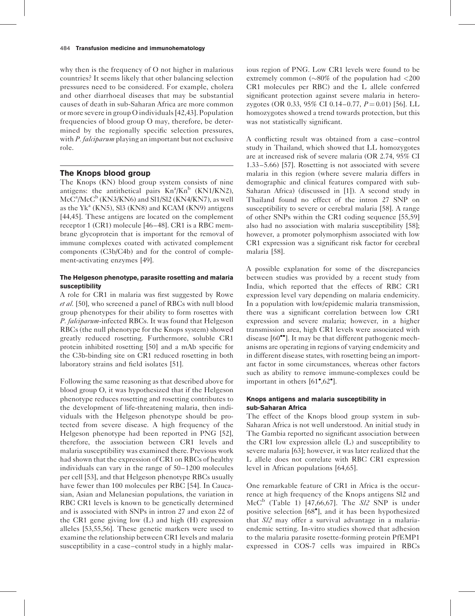why then is the frequency of O not higher in malarious countries? It seems likely that other balancing selection pressures need to be considered. For example, cholera and other diarrhoeal diseases that may be substantial causes of death in sub-Saharan Africa are more common or more severe in group O individuals [\[42,43\].](#page-6-0) Population frequencies of blood group O may, therefore, be determined by the regionally specific selection pressures, with P. falciparum playing an important but not exclusive role.

## The Knops blood group

The Knops (KN) blood group system consists of nine antigens: the antithetical pairs  $Kn^a/Kn^b$  (KN1/KN2),  $\text{McC}^{\text{a}}/\text{McC}^{\text{b}}$  (KN3/KN6) and Sl1/Sl2 (KN4/KN7), as well as the  $Yk^a$  (KN5), Sl3 (KN8) and KCAM (KN9) antigens [\[44,45\].](#page-6-0) These antigens are located on the complement receptor 1 (CR1) molecule [\[46–48\].](#page-6-0) CR1 is a RBC membrane glycoprotein that is important for the removal of immune complexes coated with activated complement components (C3b/C4b) and for the control of complement-activating enzymes [\[49\].](#page-7-0)

## The Helgeson phenotype, parasite rosetting and malaria susceptibility

A role for CR1 in malaria was first suggested by Rowe et al. [\[50\],](#page-7-0) who screened a panel of RBCs with null blood group phenotypes for their ability to form rosettes with P. falciparum-infected RBCs. It was found that Helgeson RBCs (the null phenotype for the Knops system) showed greatly reduced rosetting. Furthermore, soluble CR1 protein inhibited rosetting [\[50\]](#page-7-0) and a mAb specific for the C3b-binding site on CR1 reduced rosetting in both laboratory strains and field isolates [\[51\].](#page-7-0)

Following the same reasoning as that described above for blood group O, it was hypothesized that if the Helgeson phenotype reduces rosetting and rosetting contributes to the development of life-threatening malaria, then individuals with the Helgeson phenotype should be protected from severe disease. A high frequency of the Helgeson phenotype had been reported in PNG [\[52\]](#page-7-0), therefore, the association between CR1 levels and malaria susceptibility was examined there. Previous work had shown that the expression of CR1 on RBCs of healthy individuals can vary in the range of 50–1200 molecules per cell [\[53\],](#page-7-0) and that Helgeson phenotype RBCs usually have fewer than 100 molecules per RBC [\[54\].](#page-7-0) In Caucasian, Asian and Melanesian populations, the variation in RBC CR1 levels is known to be genetically determined and is associated with SNPs in intron 27 and exon 22 of the CR1 gene giving low (L) and high (H) expression alleles [\[53,55,56\]](#page-7-0). These genetic markers were used to examine the relationship between CR1 levels and malaria susceptibility in a case–control study in a highly malarious region of PNG. Low CR1 levels were found to be extremely common  $(\sim 80\%$  of the population had  $\lt 200$ CR1 molecules per RBC) and the L allele conferred significant protection against severe malaria in heterozygotes (OR 0.33, 95% CI 0.14–0.77,  $P = 0.01$ ) [\[56\]](#page-7-0). LL homozygotes showed a trend towards protection, but this was not statistically significant.

A conflicting result was obtained from a case–control study in Thailand, which showed that LL homozygotes are at increased risk of severe malaria (OR 2.74, 95% CI 1.33–5.66) [\[57\].](#page-7-0) Rosetting is not associated with severe malaria in this region (where severe malaria differs in demographic and clinical features compared with sub-Saharan Africa) (discussed in [\[1\]](#page-5-0)). A second study in Thailand found no effect of the intron 27 SNP on susceptibility to severe or cerebral malaria [\[58\]](#page-7-0). A range of other SNPs within the CR1 coding sequence [\[55,59\]](#page-7-0) also had no association with malaria susceptibility [\[58\]](#page-7-0); however, a promoter polymorphism associated with low CR1 expression was a significant risk factor for cerebral malaria [\[58\].](#page-7-0)

A possible explanation for some of the discrepancies between studies was provided by a recent study from India, which reported that the effects of RBC CR1 expression level vary depending on malaria endemicity. In a population with low/epidemic malaria transmission, there was a significant correlation between low CR1 expression and severe malaria; however, in a higher transmission area, high CR1 levels were associated with disease  $[60\text{'''}]$  $[60\text{'''}]$ . It may be that different pathogenic mechanisms are operating in regions of varying endemicity and in different disease states, with rosetting being an important factor in some circumstances, whereas other factors such as ability to remove immune-complexes could be important in others [\[61](#page-7-0)°[,62](#page-7-0)°[\]](#page-7-0).

## Knops antigens and malaria susceptibility in sub-Saharan Africa

The effect of the Knops blood group system in sub-Saharan Africa is not well understood. An initial study in The Gambia reported no significant association between the CR1 low expression allele (L) and susceptibility to severe malaria [\[63\];](#page-7-0) however, it was later realized that the L allele does not correlate with RBC CR1 expression level in African populations [\[64,65\]](#page-7-0).

One remarkable feature of CR1 in Africa is the occurrence at high frequency of the Knops antigens Sl2 and McC<sup>b</sup> ([Table 1\)](#page-5-0) [\[47,66,67\]](#page-6-0). The  $S/2$  SNP is under positive selection [\[68](#page-7-0)<sup>°</sup>[\]](#page-7-0), and it has been hypothesized that Sl2 may offer a survival advantage in a malariaendemic setting. In-vitro studies showed that adhesion to the malaria parasite rosette-forming protein PfEMP1 expressed in COS-7 cells was impaired in RBCs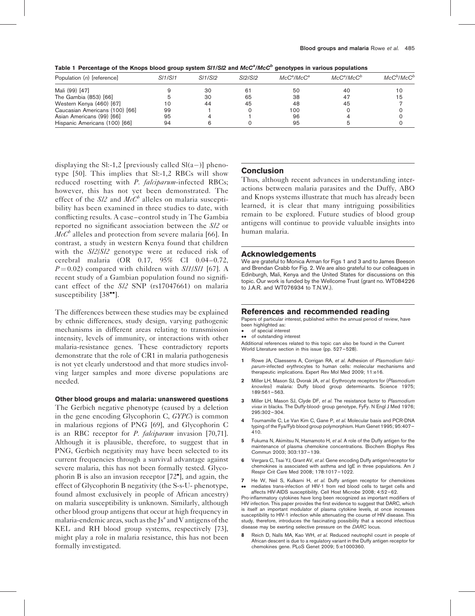<span id="page-5-0"></span>

|  |  |  |  |  | Table 1 Percentage of the Knops blood group system SI1/SI2 and $McC^a/McC^b$ genotypes in various populations |
|--|--|--|--|--|---------------------------------------------------------------------------------------------------------------|
|--|--|--|--|--|---------------------------------------------------------------------------------------------------------------|

| Population (n) [reference]     | <i>SI1/SI1</i> | <i>SI1/SI2</i><br>30 | <i>SI2/SI2</i><br>61 | $McC^a/McC^a$<br>50 | $McC^a/McC^b$<br>40 | $McC^b/McC^b$<br>10 |
|--------------------------------|----------------|----------------------|----------------------|---------------------|---------------------|---------------------|
| Mali (99) [47]                 |                |                      |                      |                     |                     |                     |
| The Gambia (853) [66]          |                | 30                   | 65                   | 38                  | 47                  | 15                  |
| Western Kenya (460) [67]       | 10             | 44                   | 45                   | 48                  | 45                  |                     |
| Caucasian Americans (100) [66] | 99             |                      |                      | 100                 |                     |                     |
| Asian Americans (99) [66]      | 95             |                      |                      | 96                  |                     |                     |
| Hispanic Americans (100) [66]  | 94             |                      |                      | 95                  |                     |                     |

displaying the SI:-1,2 [previously called  $Sl(a-)$ ] phenotype [\[50\]](#page-7-0). This implies that Sl:-1,2 RBCs will show reduced rosetting with P. falciparum-infected RBCs; however, this has not yet been demonstrated. The effect of the  $S/2$  and  $McC^b$  alleles on malaria susceptibility has been examined in three studies to date, with conflicting results. A case–control study in The Gambia reported no significant association between the Sl2 or  $McC<sup>b</sup>$  alleles and protection from severe malaria [\[66\]](#page-7-0). In contrast, a study in western Kenya found that children with the Sl2/Sl2 genotype were at reduced risk of cerebral malaria (OR 0.17, 95% CI 0.04–0.72,  $P = 0.02$ ) compared with children with  $S/I/S/I$  [\[67\].](#page-7-0) A recent study of a Gambian population found no significant effect of the Sl2 SNP (rs17047661) on malaria susceptibility  $[38\degree]$  $[38\degree]$ .

The differences between these studies may be explained by ethnic differences, study design, varying pathogenic mechanisms in different areas relating to transmission intensity, levels of immunity, or interactions with other malaria-resistance genes. These contradictory reports demonstrate that the role of CR1 in malaria pathogenesis is not yet clearly understood and that more studies involving larger samples and more diverse populations are needed.

#### Other blood groups and malaria: unanswered questions

The Gerbich negative phenotype (caused by a deletion in the gene encoding Glycophorin C, GYPC) is common in malarious regions of PNG [\[69\]](#page-7-0), and Glycophorin C is an RBC receptor for *P. falciparum* invasion [\[70,71\]](#page-7-0). Although it is plausible, therefore, to suggest that in PNG, Gerbich negativity may have been selected to its current frequencies through a survival advantage against severe malaria, this has not been formally tested. Glycophorin B is also an invasion receptor [\[72](#page-7-0) [\],](#page-7-0) and again, the effect of Glycophorin B negativity (the S-s-U- phenotype, found almost exclusively in people of African ancestry) on malaria susceptibility is unknown. Similarly, although other blood group antigens that occur at high frequency in malaria-endemic areas, such as the  $Js<sup>a</sup>$  and V antigens of the KEL and RH blood group systems, respectively [\[73\]](#page-7-0), might play a role in malaria resistance, this has not been formally investigated.

## Conclusion

Thus, although recent advances in understanding interactions between malaria parasites and the Duffy, ABO and Knops systems illustrate that much has already been learned, it is clear that many intriguing possibilities remain to be explored. Future studies of blood group antigens will continue to provide valuable insights into human malaria.

#### Acknowledgements

We are grateful to Monica Arman for [Figs 1 and 3](#page-1-0) and to James Beeson and Brendan Crabb for [Fig. 2.](#page-2-0) We are also grateful to our colleagues in Edinburgh, Mali, Kenya and the United States for discussions on this topic. Our work is funded by the Wellcome Trust (grant no. WT084226 to J.A.R. and WT076934 to T.N.W.).

#### References and recommended reading

Papers of particular interest, published within the annual period of review, have been highlighted as:

- of special interest • of outstanding interest
- 

Additional references related to this topic can also be found in the Current World Literature section in this issue (pp. 527–528).

- 1 Rowe JA, Claessens A, Corrigan RA, et al. Adhesion of Plasmodium falciparum-infected erythrocytes to human cells: molecular mechanisms and therapeutic implications. Expert Rev Mol Med 2009; 11:e16.
- 2 Miller LH, Mason SJ, Dvorak JA, et al. Erythrocyte receptors for (Plasmodium knowlesi) malaria: Duffy blood group determinants. Science 1975; 189:561–563.
- Miller LH, Mason SJ, Clyde DF, et al. The resistance factor to Plasmodium vivax in blacks. The Duffy-blood- group genotype, FyFy. N Engl J Med 1976; 295:302–304.
- Tournamille C, Le Van Kim C, Gane P, et al. Molecular basis and PCR-DNA typing of the Fya/Fyb blood group polymorphism. Hum Genet 1995; 95:407– 410.
- 5 Fukuma N, Akimitsu N, Hamamoto H, et al. A role of the Duffy antigen for the maintenance of plasma chemokine concentrations. Biochem Biophys Res Commun 2003; 303:137–139.
- Vergara C, Tsai YJ, Grant AV, et al. Gene encoding Duffy antigen/receptor for chemokines is associated with asthma and IgE in three populations. Am J Respir Crit Care Med 2008; 178:1017–1022.
- 7 He W, Neil S, Kulkarni H, et al. Duffy antigen receptor for chemokines
- $\bullet\bullet$ mediates trans-infection of HIV-1 from red blood cells to target cells and affects HIV-AIDS susceptibility. Cell Host Microbe 2008; 4:52–62.

Pro-inflammatory cytokines have long been recognized as important modifiers of HIV infection. This paper provides the first evidence to suggest that DARC, which is itself an important modulator of plasma cytokine levels, at once increases susceptibility to HIV-1 infection while attenuating the course of HIV disease. This study, therefore, introduces the fascinating possibility that a second infectious disease may be exerting selective pressure on the DARC locus.

8 Reich D, Nalls MA, Kao WH, et al. Reduced neutrophil count in people of African descent is due to a regulatory variant in the Duffy antigen receptor for chemokines gene. PLoS Genet 2009; 5:e1000360.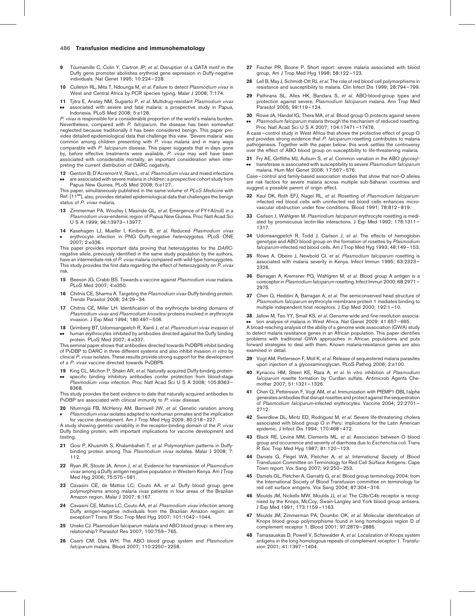- <span id="page-6-0"></span>9 Tournamille C, Colin Y, Cartron JP, et al. Disruption of a GATA motif in the Duffy gene promoter abolishes erythroid gene expression in Duffy-negative individuals. Nat Genet 1995; 10:224–228.
- 10 Culleton RL, Mita T, Ndounga M, et al. Failure to detect Plasmodium vivax in West and Central Africa by PCR species typing. Malar J 2008; 7:174.
- 11 Tjitra E, Anstey NM, Sugiarto P, et al. Multidrug-resistant Plasmodium vivax .. associated with severe and fatal malaria: a prospective study in Papua, Indonesia. PLoS Med 2008; 5:e128.

P. vivax is responsible for a considerable proportion of the world's malaria burden. Nevertheless, compared with P. falciparum, the disease has been somewhat neglected because traditionally it has been considered benign. This paper provides detailed epidemiological data that challenge this view. 'Severe malaria' was common among children presenting with P. vivax malaria and in many ways comparable with *P. falciparum* disease. This paper suggests that in days gone<br>by, before effective treatments were available, *P. vivax* may well have been associated with considerable mortality, an important consideration when interpreting the current distribution of DARC negativity.

- 12 Genton B, D'Acremont V, Rare L, et al. Plasmodium vivax and mixed infections
- .. are associated with severe malaria in children: a prospective cohort study from Papua New Guinea. PLoS Med 2008; 5:e127.

This paper, simultaneously published in the same volume of PLoS Medicine with Ref. [11\*\*], also, provides detailed epidemiological data that challenges the benign status of P. vivax malaria.

- 13 Zimmerman PA, Woolley I, Masinde GL, et al. Emergence of FY\*A(null) in a Plasmodium vivax-endemic region of Papua New Guinea. Proc Natl Acad Sci U S A 1999; 96:13973–13977.
- 14 Kasehagen LJ, Mueller I, Kiniboro B, et al. Reduced Plasmodium vivax  $\bullet$ erythrocyte infection in PNG Duffy-negative heterozygotes. PLoS ONE 2007; 2:e336.

This paper provides important data proving that heterozygotes for the DARCnegative allele, previously identified in the same study population by the authors, have an intermediate risk of P. vivax malaria compared with wild-type homozygotes. This study provides the first data regarding the effect of heterozygosity on P. vivax risk.

- 15 Beeson JG, Crabb BS. Towards a vaccine against Plasmodium vivax malaria. PLoS Med 2007; 4:e350.
- 16 Chitnis CE, Sharma A. Targeting the Plasmodium vivax Duffy-binding protein. Trends Parasitol 2008; 24:29–34.
- 17 Chitnis CE, Miller LH. Identification of the erythrocyte binding domains of Plasmodium vivax and Plasmodium knowlesi proteins involved in erythrocyte invasion. J Exp Med 1994; 180:497–506.
- 18 Grimberg BT, Udomsangpetch R, Xainli J, et al. Plasmodium vivax invasion of .. human erythrocytes inhibited by antibodies directed against the Duffy binding protein. PLoS Med 2007; 4:e337.

This seminal paper shows that antibodies directed towards PvDBPII inhibit binding of PvDBP to DARC in three different systems and also inhibit invasion in vitro by clinical P. vivax isolates. These results provide strong support for the development of a P. vivax vaccine directed towards PvDBPII.

- 19 King CL, Michon P, Shakri AR, et al. Naturally acquired Duffy-binding protein-
- .. specific binding inhibitory antibodies confer protection from blood-stage Plasmodium vivax infection. Proc Natl Acad Sci U S A 2008; 105:8363-8368.

This study provides the best evidence to date that naturally acquired antibodies to PvDBP are associated with clinical immunity to P. vivax disease.

20 Ntumngia FB, McHenry AM, Barnwell JW, et al. Genetic variation among  $\bullet$ Plasmodium vivax isolates adapted to nonhuman primates and the implication

for vaccine development. Am J Trop Med Hyg 2009; 80:218–227. A study showing genetic variability in the receptor-binding domain of the P. vivax Duffy binding protein, with important implications for vaccine development and testing.

- 21 Gosi P, Khusmith S, Khalambaheti T, et al. Polymorphism patterns in Duffybinding protein among Thai Plasmodium vivax isolates. Malar J 2008; 7: 112.
- 22 Ryan JR, Stoute JA, Amon J, et al. Evidence for transmission of Plasmodium vivax among a Duffy antigen negative population in Western Kenya. Am J Trop Med Hyg 2006; 75:575–581.
- 23 Cavasini CE, de Mattos LC, Couto AA, et al. Duffy blood group gene polymorphisms among malaria vivax patients in four areas of the Brazilian Amazon region. Malar J 2007; 6:167.
- 24 Cavasini CE, Mattos LC, Couto AA, et al. Plasmodium vivax infection among Duffy antigen-negative individuals from the Brazilian Amazon region: an exception? Trans R Soc Trop Med Hyg 2007; 101:1042–1044.
- 25 Uneke CJ. Plasmodium falciparum malaria and ABO blood group: is there any relationship? Parasitol Res 2007; 100:759–765.
- 26 Cserti CM, Dzik WH. The ABO blood group system and Plasmodium falciparum malaria. Blood 2007; 110:2250–2258.
- 27 Fischer PR, Boone P. Short report: severe malaria associated with blood group. Am J Trop Med Hyg 1998; 58:122–123.
- 28 Lell B, May J, Schmidt-Ott RJ, et al. The role of red blood cell polymorphisms in resistance and susceptibility to malaria. Clin Infect Dis 1999; 28:794–799.
- 29 Pathirana SL, Alles HK, Bandara S, et al. ABO-blood-group types and protection against severe, Plasmodium falciparum malaria. Ann Trop Med Parasitol 2005; 99:119–124.
- 30 Rowe JA, Handel IG, Thera MA, et al. Blood group O protects against severe .. Plasmodium falciparum malaria through the mechanism of reduced rosetting. Proc Natl Acad Sci U S A 2007; 104:17471–17476.

A case–control study in West Africa that shows the protective effect of group O and provides strong evidence that P. falciparum rosetting contributes to malaria pathogenesis. Together with the paper below, this work settles the controversy over the effect of ABO blood group on susceptibility to life-threatening malaria.

31 Fry AE, Griffiths MJ, Auburn S, et al. Common variation in the ABO glycosyl- $\bullet\bullet$ transferase is associated with susceptibility to severe Plasmodium falciparum malaria. Hum Mol Genet 2008; 17:567–576.

Case–control and family-based association studies that show that non-O alleles are risk factors for severe malaria across multiple sub-Saharan countries and suggest a possible parent of origin effect.

- 32 Kaul DK, Roth EFJ, Nagel RL, et al. Rosetting of Plasmodium falciparuminfected red blood cells with uninfected red blood cells enhances microvascular obstruction under flow conditions. Blood 1991; 78:812–819.
- 33 Carlson J, Wahlgren M. Plasmodium falciparum erythrocyte rosetting is mediated by promiscuous lectin-like interactions. J Exp Med 1992; 176:1311– 1317.
- 34 Udomsangpetch R, Todd J, Carlson J, et al. The effects of hemoglobin genotype and ABO blood group on the formation of rosettes by Plasmodium falciparum-infected red blood cells. Am J Trop Med Hyg 1993; 48:149–153.
- 35 Rowe A, Obeiro J, Newbold CI, et al. Plasmodium falciparum rosetting is associated with malaria severity in Kenya. Infect Immun 1995; 63:2323– 2326.
- 36 Barragan A, Kremsner PG, Wahlgren M, et al. Blood group A antigen is a coreceptor in Plasmodium falciparum rosetting. Infect Immun 2000; 68:2971-2975.
- 37 Chen Q, Heddini A, Barragan A, et al. The semiconserved head structure of Plasmodium falciparum erythrocyte membrane protein 1 mediates binding to multiple independent host receptors. J Exp Med 2000; 192:1–10.
- 38 Jallow M, Teo YY, Small KS, et al. Genome-wide and fine-resolution association analysis of malaria in West Africa. Nat Genet 2009; 41:657–665.

 $\bullet\bullet\quad$  tion analysis of malaria in West Africa. Nat Genet 2009; 41:657–665.<br>A broad-reaching analysis of the ability of a genome wide association (GWA) study to detect malaria resistance genes in an African population. This paper identifies problems with traditional GWA approaches in African populations and puts

forward strategies to deal with them. Known malaria-resistance genes are also examined in detail.

- Vogt AM, Pettersson F, Moll K, et al. Release of sequestered malaria parasites upon injection of a glycosaminoglycan. PLoS Pathog 2006; 2:e100.
- 40 Kyriacou HM, Steen KE, Raza A, et al. In vitro inhibition of Plasmodium falciparum rosette formation by Curdlan sulfate. Antimicrob Agents Chemother 2007; 51:1321–1326.
- 41 Chen Q, Pettersson F, Vogt AM, et al. Immunization with PfEMP1-DBL1alpha generates antibodies that disrupt rosettes and protect against the sequestration of Plasmodium falciparum-infected erythrocytes. Vaccine 2004; 22:2701– 2712.
- 42 Swerdlow DL, Mintz ED, Rodriguez M, et al. Severe life-threatening cholera associated with blood group O in Peru: implications for the Latin American epidemic. J Infect Dis 1994; 170:468–472.
- 43 Black RE, Levine MM, Clements ML, et al. Association between O blood group and occurrence and severity of diarrhoea due to Escherichia coli. Trans group and occurrence and seventy of the<br>R Soc Trop Med Hyg 1987; 81:120-123.
- 44 Daniels G, Flegel WA, Fletcher A, et al. International Society of Blood Transfusion Committee on Terminology for Red Cell Surface Antigens: Cape Town report. Vox Sang 2007; 92:250–253.
- 45 Daniels GL, Fletcher A, Garratty G, et al. Blood group terminology 2004: from the International Society of Blood Transfusion committee on terminology for red cell surface antigens. Vox Sang 2004; 87:304–316.
- 46 Moulds JM, Nickells MW, Moulds JJ, et al. The C3b/C4b receptor is recognised by the Knops, McCoy, Swain-Langley and York blood group antisera. J Exp Med 1991; 173:1159–1163.
- Moulds JM, Zimmerman PA, Doumbo OK, et al. Molecular identification of Knops blood group polymorphisms found in long homologous region D of complement receptor 1. Blood 2001; 97:2879–2885.
- Tamasauskas D, Powell V, Schawalder A, et al. Localization of Knops system antigens in the long homologous repeats of complement receptor 1. Transfusion 2001; 41:1397–1404.